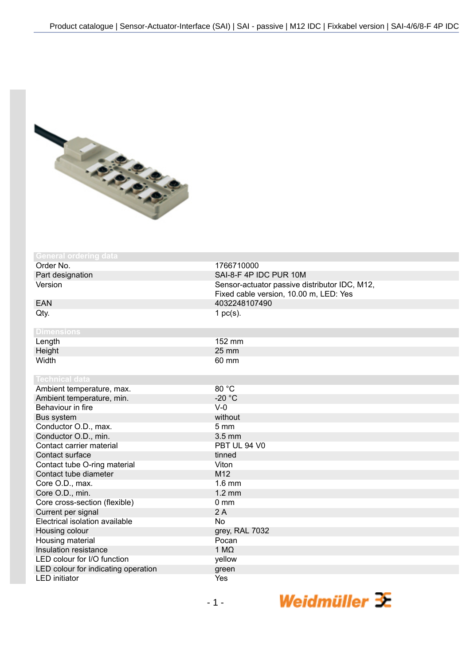

| <b>General ordering data</b>        |                                               |
|-------------------------------------|-----------------------------------------------|
| Order No.                           | 1766710000                                    |
| Part designation                    | SAI-8-F 4P IDC PUR 10M                        |
| Version                             | Sensor-actuator passive distributor IDC, M12, |
|                                     | Fixed cable version, 10.00 m, LED: Yes        |
| <b>EAN</b>                          | 4032248107490                                 |
| Qty.                                | 1 $pc(s)$ .                                   |
|                                     |                                               |
| <b>Dimensions</b>                   |                                               |
| Length                              | 152 mm                                        |
| Height                              | 25 mm                                         |
| Width                               | 60 mm                                         |
|                                     |                                               |
| <b>Technical data</b>               |                                               |
| Ambient temperature, max.           | 80 °C                                         |
| Ambient temperature, min.           | $-20 °C$                                      |
| Behaviour in fire                   | $V-0$                                         |
| Bus system                          | without                                       |
| Conductor O.D., max.                | 5 <sub>mm</sub>                               |
| Conductor O.D., min.                | 3.5 mm                                        |
| Contact carrier material            | PBT UL 94 V0                                  |
| Contact surface                     | tinned                                        |
| Contact tube O-ring material        | Viton                                         |
| Contact tube diameter               | M12                                           |
| Core O.D., max.                     | $1.6$ mm                                      |
| Core O.D., min.                     | $1.2 \text{ mm}$                              |
| Core cross-section (flexible)       | 0 <sub>mm</sub>                               |
| Current per signal                  | 2A                                            |
| Electrical isolation available      | <b>No</b>                                     |
| Housing colour                      | grey, RAL 7032                                |
| Housing material                    | Pocan                                         |
| Insulation resistance               | 1 M $\Omega$                                  |
| LED colour for I/O function         | yellow                                        |
| LED colour for indicating operation | green                                         |
| <b>LED</b> initiator                | Yes                                           |

Weidmüller  $\mathcal{\mathcal{F}}$